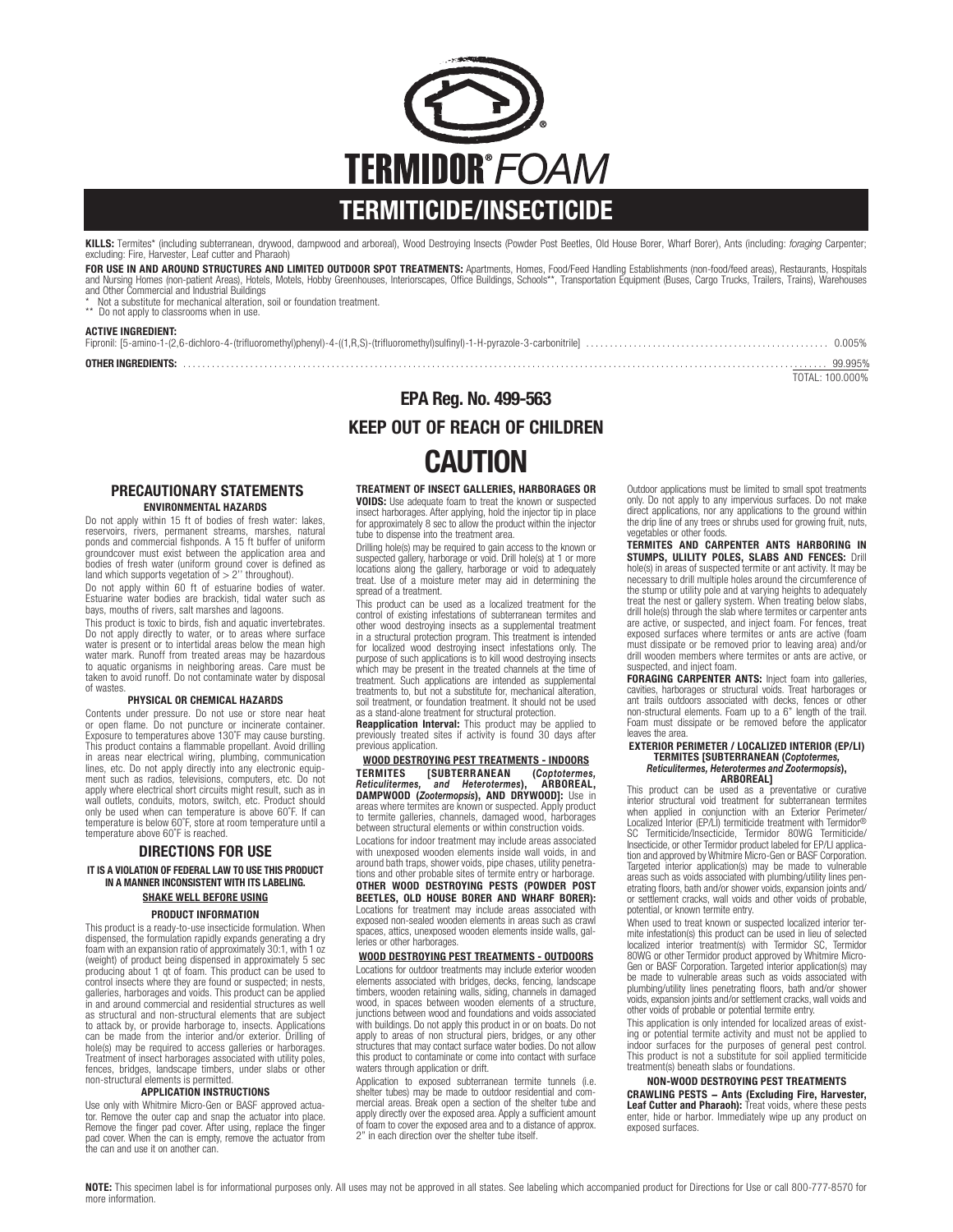

**KILLS:** Termites\* (including subterranean, drywood, dampwood and arboreal), Wood Destroying Insects (Powder Post Beetles, Old House Borer, Wharf Borer), Ants (including: *foraging* Carpenter;<br>excluding: Fire, Harvester, L

FOR USE IN AND AROUND STRUCTURES AND LIMITED OUTDOOR SPOT TREATMENTS: Apartments, Homes, Food/Feed Handling Establishments (non-food/feed areas), Restaurants, Hospitals<br>and Nursing Homes (non-patient Areas), Hotels, Motels and Other Commercial and Industrial Buildings

\* Not a substitute for mechanical alteration, soil or foundation treatment. \*\* Do not apply to classrooms when in use.

#### ACTIVE INGREDIENT:

| OTHER INGREDIENTS: |  |
|--------------------|--|
|                    |  |

TOTAL: 100.000%

# EPA Reg. No. 499-563 KEEP OUT OF REACH OF CHILDREN

# CAUTION

#### TREATMENT OF INSECT GALLERIES, HARBORAGES OR

VOIDS: Use adequate foam to treat the known or suspected insect harborages. After applying, hold the injector tip in place for approximately 8 sec to allow the product within the injector tube to dispense into the treatment area.

Drilling hole(s) may be required to gain access to the known or suspected gallery, harborage or void. Drill hole(s) at 1 or more locations along the gallery, harborage or void to adequately treat. Use of a moisture meter may aid in determining the spread of a treatment.

This product can be used as a localized treatment for the control of existing infestations of subterranean termites and other wood destroying insects as a supplemental treatment in a structural protection program. This treatment is intended for localized wood destroying insect infestations only. The purpose of such applications is to kill wood destroying insects which may be present in the treated channels at the time of treatment. Such applications are intended as supplemental treatments to, but not a substitute for, mechanical alteration, soil treatment, or foundation treatment. It should not be used

as a stand-alone treatment for structural protection.<br>**Reapplication Interval:** This product may be applied to<br>previously treated sites if activity is found 30 days after previous application.

WOOD DESTROYING PEST TREATMENTS - INDOORS<br>TERMITES [SUBTERRANEAN (Coptotermes, **TERMITES [SUBTERRANEAN (Coptotermes,**<br>Reticulitermes, and Heterotermes), ARBOREAL, **Reticulitermes, Eand Heterotermes), ARBOREAL,<br>DAMPWOOD (Zootermopsis), AND DRYWOOD]:** Use in<br>areas where termites are known or suspected. Apply product to termite galleries, channels, damaged wood, harborages between structural elements or within construction voids.

Locations for indoor treatment may include areas associated with unexposed wooden elements inside wall voids, in and around bath traps, shower voids, pipe chases, utility penetra- tions and other probable sites of termite entry or harborage.

OTHER WOOD DESTROYING PESTS (POWDER POST BEETLES, OLD HOUSE BORER AND WHARF BORER): Locations for treatment may include areas associated with exposed non-sealed wooden elements in areas such as crawl spaces, attics, unexposed wooden elements inside walls, galleries or other harborages.

#### WOOD DESTROYING PEST TREATMENTS - OUTDOORS

Locations for outdoor treatments may include exterior wooden elements associated with bridges, decks, fencing, landscape timbers, wooden retaining walls, siding, channels in damaged wood, in spaces between wooden elements of a structure, junctions between wood and foundations and voids associated with buildings. Do not apply this product in or on boats. Do not apply to areas of non structural piers, bridges, or any other structures that may contact surface water bodies. Do not allow this product to contaminate or come into contact with surface waters through application or drift.

Application to exposed subterranean termite tunnels (i.e. shelter tubes) may be made to outdoor residential and comshelter tubes) may be made to outdoor residential and com- mercial areas. Break open a section of the shelter tube and apply directly over the exposed area. Apply a sufficient amount of foam to cover the exposed area and to a distance of approx. 2'' in each direction over the shelter tube itself.

Outdoor applications must be limited to small spot treatments only. Do not apply to any impervious surfaces. Do not make direct applications, nor any applications to the ground within the drip line of any trees or shrubs used for growing fruit, nuts, vegetables or other foods.

TERMITES AND CARPENTER ANTS HARBORING IN STUMPS, ULILITY POLES, SLABS AND FENCES: Drill hole(s) in areas of suspected termite or ant activity. It may be necessary to drill multiple holes around the circumference of the stump or utility pole and at varying heights to adequately treat the nest or gallery system. When treating below slabs, drill hole(s) through the slab where termites or carpenter ants are active, or suspected, and inject foam. For fences, treat exposed surfaces where termites or ants are active (foam must dissipate or be removed prior to leaving area) and/or drill wooden members where termites or ants are active, or suspected, and inject foam.

FORAGING CARPENTER ANTS: Inject foam into galleries, cavities, harborages or structural voids. Treat harborages or ant trails outdoors associated with decks, fences or other non-structural elements. Foam up to a 6'' length of the trail. Foam must dissipate or be removed before the applicator leaves the area.

## EXTERIOR PERIMETER / LOCALIZED INTERIOR (EP/LI) TERMITES [SUBTERRANEAN (Coptotermes, Reticulitermes, Heterotermes and Zootermopsis), ARBOREAL]

This product can be used as a preventative or curative interior structural void treatment for subterranean termites when applied in conjunction with an Exterior Perimeter/ Localized Interior (EP/LI) termiticide treatment with Termidor®<br>SC Termiticide/Insecticide, Termidor 80WG Termiticide/<br>Insecticide, or other Termidor product labeled for EP/LI applica-<br>tion and approved by Whitmire Micro-G Targeted interior application(s) may be made to vulnerable areas such as voids associated with plumbing/utility lines penareas such as voids associated with plumbing/utility lines pen- etrating floors, bath and/or shower voids, expansion joints and/ or settlement cracks, wall voids and other voids of probable, potential, or known termite entry.

When used to treat known or suspected localized interior ter- mite infestation(s) this product can be used in lieu of selected localized interior treatment(s) with Termidor SC, Termidor 80WG or other Termidor product approved by Whitmire Micro-Gen or BASF Corporation. Targeted interior application(s) may be made to vulnerable areas such as voids associated with plumbing/utility lines penetrating floors, bath and/or shower voids, expansion joints and/or settlement cracks, wall voids and other voids of probable or potential termite entry.

This application is only intended for localized areas of existing or potential termite activity and must not be applied to indoor surfaces for the purposes of general pest control. This product is not a substitute for soil applied termiticide treatment(s) beneath slabs or foundations.

### NON-WOOD DESTROYING PEST TREATMENTS

CRAWLING PESTS – Ants (Excluding Fire, Harvester,<br>Leaf Cutter and Pharaoh): Treat voids, where these pests enter, hide or harbor. Immediately wipe up any product on exposed surfaces.

#### PRECAUTIONARY STATEMENTS ENVIRONMENTAL HAZARDS

Do not apply within 15 ft of bodies of fresh water: lakes reservoirs, rivers, permanent streams, marshes, natural ponds and commercial fishponds. A 15 ft buffer of uniform groundcover must exist between the application area and bodies of fresh water (uniform ground cover is defined as land which supports vegetation of > 2'' throughout).

Do not apply within 60 ft of estuarine bodies of water. Estuarine water bodies are brackish, tidal water such as bays, mouths of rivers, salt marshes and lagoons.

This product is toxic to birds, fish and aquatic invertebrates. Do not apply directly to water, or to areas where surface water is present or to intertidal areas below the mean high water mark. Runoff from treated areas may be hazardous to aquatic organisms in neighboring areas. Care must be taken to avoid runoff. Do not contaminate water by disposal of wastes.

#### PHYSICAL OR CHEMICAL HAZARDS

Contents under pressure. Do not use or store near heat or open flame. Do not puncture or incinerate container. Exposure to temperatures above 130˚F may cause bursting. This product contains a flammable propellant. Avoid drilling in areas near electrical wiring, plumbing, communication lines, etc. Do not apply directly into any electronic equipment such as radios, televisions, computers, etc. Do not apply where electrical short circuits might result, such as in wall outlets, conduits, motors, switch, etc. Product should only be used when can temperature is above 60˚F. If can temperature is below 60˚F, store at room temperature until a temperature above 60˚F is reached.

### DIRECTIONS FOR USE IT IS A VIOLATION OF FEDERAL LAW TO USE THIS PRODUCT IN A MANNER INCONSISTENT WITH ITS LABELING. SHAKE WELL BEFORE USING

#### PRODUCT INFORMATION

This product is a ready-to-use insecticide formulation. When dispensed, the formulation rapidly expands generating a dry foam with an expansion ratio of approximately 30:1, with 1 oz (weight) of product being dispensed in approximately 5 sec producing about 1 qt of foam. This product can be used to control insects where they are found or suspected; in nests, galleries, harborages and voids. This product can be applied in and around commercial and residential structures as well as structural and non-structural elements that are subject to attack by, or provide harborage to, insects. Applications can be made from the interior and/or exterior. Drilling of hole(s) may be required to access galleries or harborages. Treatment of insect harborages associated with utility poles, fences, bridges, landscape timbers, under slabs or other non-structural elements is permitted.

#### APPLICATION INSTRUCTIONS

Use only with Whitmire Micro-Gen or BASF approved actuator. Remove the outer cap and snap the actuator into place. Remove the finger pad cover. After using, replace the finger pad cover. When the can is empty, remove the actuator from the can and use it on another can